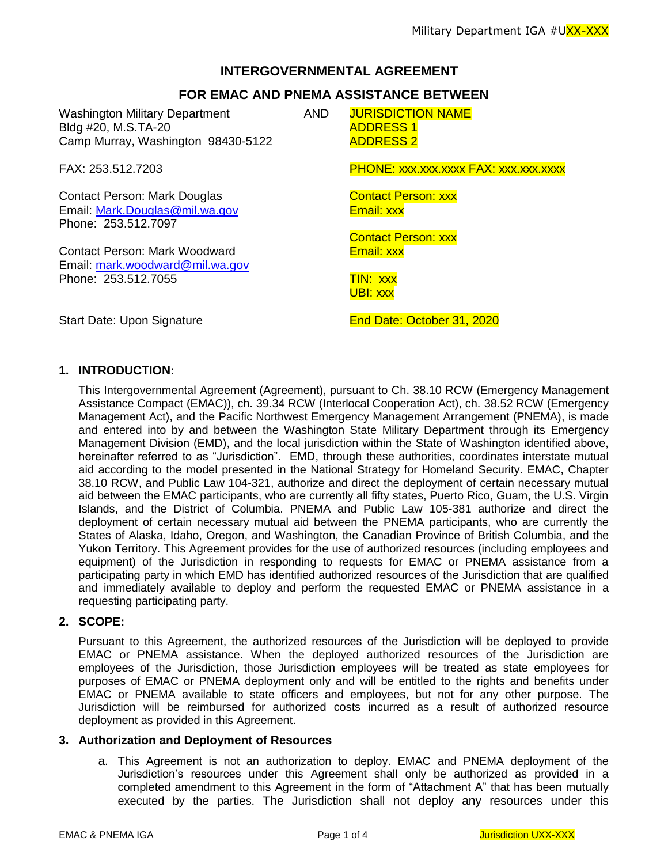## **INTERGOVERNMENTAL AGREEMENT**

# **FOR EMAC AND PNEMA ASSISTANCE BETWEEN**

Washington Military Department Bldg #20, M.S.TA-20 Camp Murray, Washington 98430-5122 AND JURISDICTION NAME ADDRESS 1 ADDRESS 2 FAX: 253.512.7203 PHONE: xxx.xxx.xxxx FAX: xxx.xxx.xxxx Contact Person: Mark Douglas Contact Person: xxx Email: [Mark.Douglas@mil.wa.gov](mailto:Mark.Douglas@mil.wa.gov) Email: xxx Phone: 253.512.7097 Contact Person: xxx Contact Person: Mark Woodward **Email: XXX** Email: [mark.woodward@mil.wa.gov](mailto:mark.woodward@mil.wa.gov) Phone: 253.512.7055 TIN: xxx UBI: xxx Start Date: Upon Signature **End Date: October 31, 2020** 

### **1. INTRODUCTION:**

This Intergovernmental Agreement (Agreement), pursuant to Ch. 38.10 RCW (Emergency Management Assistance Compact (EMAC)), ch. 39.34 RCW (Interlocal Cooperation Act), ch. 38.52 RCW (Emergency Management Act), and the Pacific Northwest Emergency Management Arrangement (PNEMA), is made and entered into by and between the Washington State Military Department through its Emergency Management Division (EMD), and the local jurisdiction within the State of Washington identified above, hereinafter referred to as "Jurisdiction". EMD, through these authorities, coordinates interstate mutual aid according to the model presented in the National Strategy for Homeland Security. EMAC, Chapter 38.10 RCW, and Public Law 104-321, authorize and direct the deployment of certain necessary mutual aid between the EMAC participants, who are currently all fifty states, Puerto Rico, Guam, the U.S. Virgin Islands, and the District of Columbia. PNEMA and Public Law 105-381 authorize and direct the deployment of certain necessary mutual aid between the PNEMA participants, who are currently the States of Alaska, Idaho, Oregon, and Washington, the Canadian Province of British Columbia, and the Yukon Territory. This Agreement provides for the use of authorized resources (including employees and equipment) of the Jurisdiction in responding to requests for EMAC or PNEMA assistance from a participating party in which EMD has identified authorized resources of the Jurisdiction that are qualified and immediately available to deploy and perform the requested EMAC or PNEMA assistance in a requesting participating party.

## **2. SCOPE:**

Pursuant to this Agreement, the authorized resources of the Jurisdiction will be deployed to provide EMAC or PNEMA assistance. When the deployed authorized resources of the Jurisdiction are employees of the Jurisdiction, those Jurisdiction employees will be treated as state employees for purposes of EMAC or PNEMA deployment only and will be entitled to the rights and benefits under EMAC or PNEMA available to state officers and employees, but not for any other purpose. The Jurisdiction will be reimbursed for authorized costs incurred as a result of authorized resource deployment as provided in this Agreement.

### **3. Authorization and Deployment of Resources**

a. This Agreement is not an authorization to deploy. EMAC and PNEMA deployment of the Jurisdiction's resources under this Agreement shall only be authorized as provided in a completed amendment to this Agreement in the form of "Attachment A" that has been mutually executed by the parties. The Jurisdiction shall not deploy any resources under this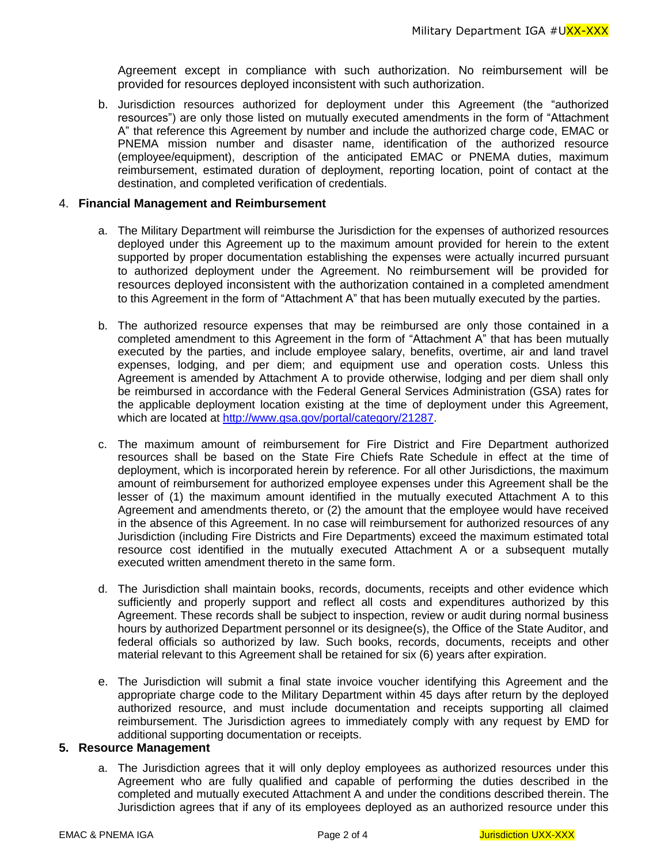Agreement except in compliance with such authorization. No reimbursement will be provided for resources deployed inconsistent with such authorization.

b. Jurisdiction resources authorized for deployment under this Agreement (the "authorized resources") are only those listed on mutually executed amendments in the form of "Attachment A" that reference this Agreement by number and include the authorized charge code, EMAC or PNEMA mission number and disaster name, identification of the authorized resource (employee/equipment), description of the anticipated EMAC or PNEMA duties, maximum reimbursement, estimated duration of deployment, reporting location, point of contact at the destination, and completed verification of credentials.

#### 4. **Financial Management and Reimbursement**

- a. The Military Department will reimburse the Jurisdiction for the expenses of authorized resources deployed under this Agreement up to the maximum amount provided for herein to the extent supported by proper documentation establishing the expenses were actually incurred pursuant to authorized deployment under the Agreement. No reimbursement will be provided for resources deployed inconsistent with the authorization contained in a completed amendment to this Agreement in the form of "Attachment A" that has been mutually executed by the parties.
- b. The authorized resource expenses that may be reimbursed are only those contained in a completed amendment to this Agreement in the form of "Attachment A" that has been mutually executed by the parties, and include employee salary, benefits, overtime, air and land travel expenses, lodging, and per diem; and equipment use and operation costs. Unless this Agreement is amended by Attachment A to provide otherwise, lodging and per diem shall only be reimbursed in accordance with the Federal General Services Administration (GSA) rates for the applicable deployment location existing at the time of deployment under this Agreement, which are located at [http://www.gsa.gov/portal/category/21287.](http://www.gsa.gov/portal/category/21287)
- c. The maximum amount of reimbursement for Fire District and Fire Department authorized resources shall be based on the State Fire Chiefs Rate Schedule in effect at the time of deployment, which is incorporated herein by reference. For all other Jurisdictions, the maximum amount of reimbursement for authorized employee expenses under this Agreement shall be the lesser of (1) the maximum amount identified in the mutually executed Attachment A to this Agreement and amendments thereto, or (2) the amount that the employee would have received in the absence of this Agreement. In no case will reimbursement for authorized resources of any Jurisdiction (including Fire Districts and Fire Departments) exceed the maximum estimated total resource cost identified in the mutually executed Attachment A or a subsequent mutally executed written amendment thereto in the same form.
- d. The Jurisdiction shall maintain books, records, documents, receipts and other evidence which sufficiently and properly support and reflect all costs and expenditures authorized by this Agreement. These records shall be subject to inspection, review or audit during normal business hours by authorized Department personnel or its designee(s), the Office of the State Auditor, and federal officials so authorized by law. Such books, records, documents, receipts and other material relevant to this Agreement shall be retained for six (6) years after expiration.
- e. The Jurisdiction will submit a final state invoice voucher identifying this Agreement and the appropriate charge code to the Military Department within 45 days after return by the deployed authorized resource, and must include documentation and receipts supporting all claimed reimbursement. The Jurisdiction agrees to immediately comply with any request by EMD for additional supporting documentation or receipts.

#### **5. Resource Management**

a. The Jurisdiction agrees that it will only deploy employees as authorized resources under this Agreement who are fully qualified and capable of performing the duties described in the completed and mutually executed Attachment A and under the conditions described therein. The Jurisdiction agrees that if any of its employees deployed as an authorized resource under this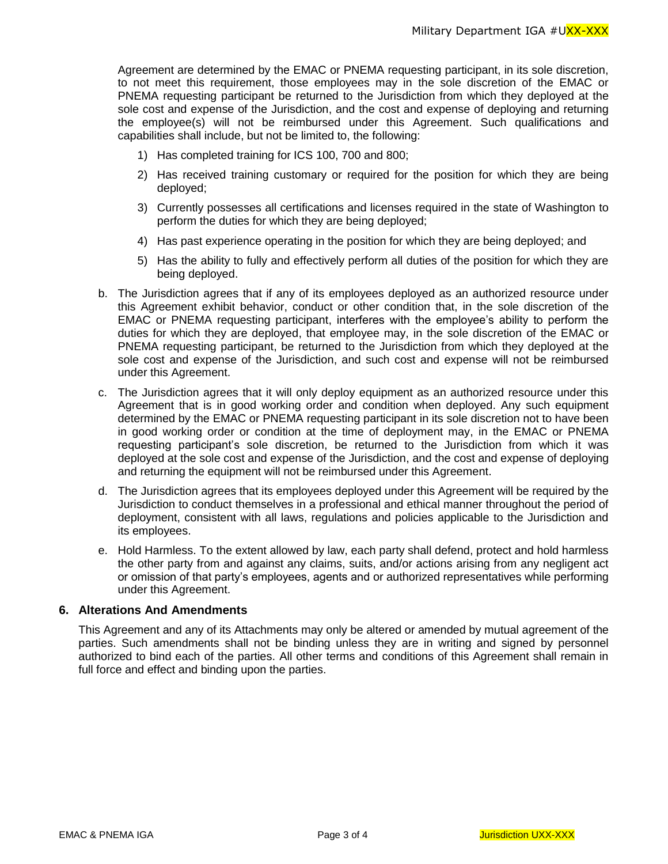Agreement are determined by the EMAC or PNEMA requesting participant, in its sole discretion, to not meet this requirement, those employees may in the sole discretion of the EMAC or PNEMA requesting participant be returned to the Jurisdiction from which they deployed at the sole cost and expense of the Jurisdiction, and the cost and expense of deploying and returning the employee(s) will not be reimbursed under this Agreement. Such qualifications and capabilities shall include, but not be limited to, the following:

- 1) Has completed training for ICS 100, 700 and 800;
- 2) Has received training customary or required for the position for which they are being deployed;
- 3) Currently possesses all certifications and licenses required in the state of Washington to perform the duties for which they are being deployed;
- 4) Has past experience operating in the position for which they are being deployed; and
- 5) Has the ability to fully and effectively perform all duties of the position for which they are being deployed.
- b. The Jurisdiction agrees that if any of its employees deployed as an authorized resource under this Agreement exhibit behavior, conduct or other condition that, in the sole discretion of the EMAC or PNEMA requesting participant, interferes with the employee's ability to perform the duties for which they are deployed, that employee may, in the sole discretion of the EMAC or PNEMA requesting participant, be returned to the Jurisdiction from which they deployed at the sole cost and expense of the Jurisdiction, and such cost and expense will not be reimbursed under this Agreement.
- c. The Jurisdiction agrees that it will only deploy equipment as an authorized resource under this Agreement that is in good working order and condition when deployed. Any such equipment determined by the EMAC or PNEMA requesting participant in its sole discretion not to have been in good working order or condition at the time of deployment may, in the EMAC or PNEMA requesting participant's sole discretion, be returned to the Jurisdiction from which it was deployed at the sole cost and expense of the Jurisdiction, and the cost and expense of deploying and returning the equipment will not be reimbursed under this Agreement.
- d. The Jurisdiction agrees that its employees deployed under this Agreement will be required by the Jurisdiction to conduct themselves in a professional and ethical manner throughout the period of deployment, consistent with all laws, regulations and policies applicable to the Jurisdiction and its employees.
- e. Hold Harmless. To the extent allowed by law, each party shall defend, protect and hold harmless the other party from and against any claims, suits, and/or actions arising from any negligent act or omission of that party's employees, agents and or authorized representatives while performing under this Agreement.

### **6. Alterations And Amendments**

This Agreement and any of its Attachments may only be altered or amended by mutual agreement of the parties. Such amendments shall not be binding unless they are in writing and signed by personnel authorized to bind each of the parties. All other terms and conditions of this Agreement shall remain in full force and effect and binding upon the parties.